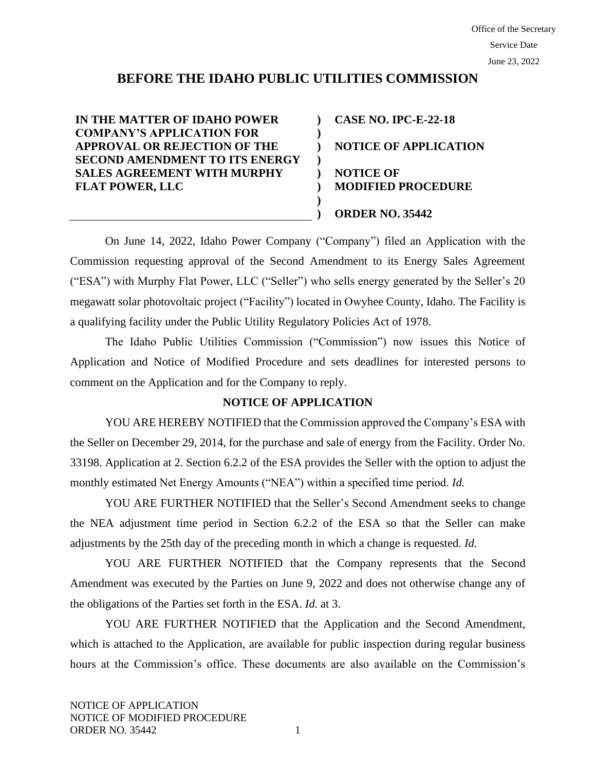# **BEFORE THE IDAHO PUBLIC UTILITIES COMMISSION**

**) ) ) ) ) ) ) )**

**IN THE MATTER OF IDAHO POWER COMPANY'S APPLICATION FOR APPROVAL OR REJECTION OF THE SECOND AMENDMENT TO ITS ENERGY SALES AGREEMENT WITH MURPHY FLAT POWER, LLC**

**CASE NO. IPC-E-22-18 NOTICE OF APPLICATION NOTICE OF MODIFIED PROCEDURE ORDER NO. 35442**

On June 14, 2022, Idaho Power Company ("Company") filed an Application with the Commission requesting approval of the Second Amendment to its Energy Sales Agreement ("ESA") with Murphy Flat Power, LLC ("Seller") who sells energy generated by the Seller's 20 megawatt solar photovoltaic project ("Facility") located in Owyhee County, Idaho. The Facility is a qualifying facility under the Public Utility Regulatory Policies Act of 1978.

The Idaho Public Utilities Commission ("Commission") now issues this Notice of Application and Notice of Modified Procedure and sets deadlines for interested persons to comment on the Application and for the Company to reply.

# **NOTICE OF APPLICATION**

YOU ARE HEREBY NOTIFIED that the Commission approved the Company's ESA with the Seller on December 29, 2014, for the purchase and sale of energy from the Facility. Order No. 33198. Application at 2. Section 6.2.2 of the ESA provides the Seller with the option to adjust the monthly estimated Net Energy Amounts ("NEA") within a specified time period. *Id.* 

YOU ARE FURTHER NOTIFIED that the Seller's Second Amendment seeks to change the NEA adjustment time period in Section 6.2.2 of the ESA so that the Seller can make adjustments by the 25th day of the preceding month in which a change is requested. *Id.* 

YOU ARE FURTHER NOTIFIED that the Company represents that the Second Amendment was executed by the Parties on June 9, 2022 and does not otherwise change any of the obligations of the Parties set forth in the ESA. *Id.* at 3.

YOU ARE FURTHER NOTIFIED that the Application and the Second Amendment, which is attached to the Application, are available for public inspection during regular business hours at the Commission's office. These documents are also available on the Commission's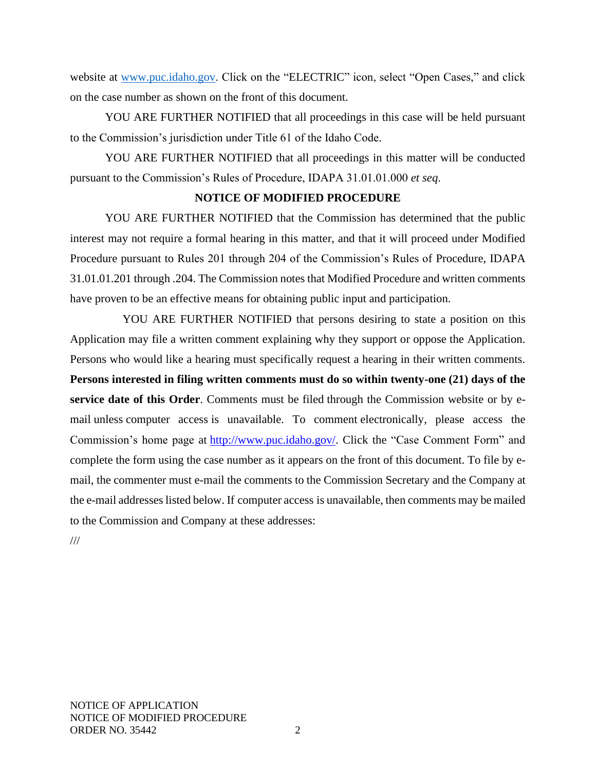website at [www.puc.idaho.gov.](http://www.puc.idaho.gov/) Click on the "ELECTRIC" icon, select "Open Cases," and click on the case number as shown on the front of this document.

YOU ARE FURTHER NOTIFIED that all proceedings in this case will be held pursuant to the Commission's jurisdiction under Title 61 of the Idaho Code.

YOU ARE FURTHER NOTIFIED that all proceedings in this matter will be conducted pursuant to the Commission's Rules of Procedure, IDAPA 31.01.01.000 *et seq*.

## **NOTICE OF MODIFIED PROCEDURE**

YOU ARE FURTHER NOTIFIED that the Commission has determined that the public interest may not require a formal hearing in this matter, and that it will proceed under Modified Procedure pursuant to Rules 201 through 204 of the Commission's Rules of Procedure, IDAPA 31.01.01.201 through .204. The Commission notes that Modified Procedure and written comments have proven to be an effective means for obtaining public input and participation.

YOU ARE FURTHER NOTIFIED that persons desiring to state a position on this Application may file a written comment explaining why they support or oppose the Application. Persons who would like a hearing must specifically request a hearing in their written comments. **Persons interested in filing written comments must do so within twenty-one (21) days of the service date of this Order**. Comments must be filed through the Commission website or by email unless computer access is unavailable. To comment electronically, please access the Commission's home page at [http://www.puc.idaho.gov/.](http://www.puc.idaho.gov/) Click the "Case Comment Form" and complete the form using the case number as it appears on the front of this document. To file by email, the commenter must e-mail the comments to the Commission Secretary and the Company at the e-mail addresses listed below. If computer access is unavailable, then comments may be mailed to the Commission and Company at these addresses:

///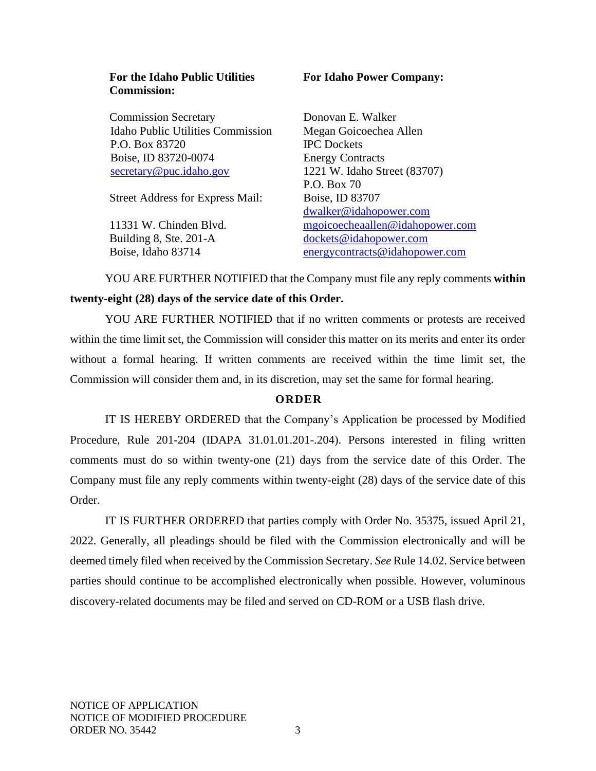#### **For the Idaho Public Utilities Commission:**

Commission Secretary Idaho Public Utilities Commission P.O. Box 83720 Boise, ID 83720-0074 [secretary@puc.idaho.gov](mailto:secretary@puc.idaho.gov)

Street Address for Express Mail:

11331 W. Chinden Blvd. Building 8, Ste. 201-A Boise, Idaho 83714

## **For Idaho Power Company:**

Donovan E. Walker Megan Goicoechea Allen IPC Dockets Energy Contracts 1221 W. Idaho Street (83707) P.O. Box 70 Boise, ID 83707 [dwalker@idahopower.com](mailto:dwalker@idahopower.com) mgoicoecheaallen@idahopower.com [dockets@idahopower.com](mailto:dockets@idahopower.com) [energycontracts@idahopower.com](mailto:energycontracts@idahopower.com)

YOU ARE FURTHER NOTIFIED that the Company must file any reply comments **within twenty-eight (28) days of the service date of this Order.**

YOU ARE FURTHER NOTIFIED that if no written comments or protests are received within the time limit set, the Commission will consider this matter on its merits and enter its order without a formal hearing. If written comments are received within the time limit set, the Commission will consider them and, in its discretion, may set the same for formal hearing.

# **O R D E R**

IT IS HEREBY ORDERED that the Company's Application be processed by Modified Procedure, Rule 201-204 (IDAPA 31.01.01.201-.204). Persons interested in filing written comments must do so within twenty-one (21) days from the service date of this Order. The Company must file any reply comments within twenty-eight (28) days of the service date of this Order.

IT IS FURTHER ORDERED that parties comply with Order No. 35375, issued April 21, 2022. Generally, all pleadings should be filed with the Commission electronically and will be deemed timely filed when received by the Commission Secretary. *See* Rule 14.02. Service between parties should continue to be accomplished electronically when possible. However, voluminous discovery-related documents may be filed and served on CD-ROM or a USB flash drive.